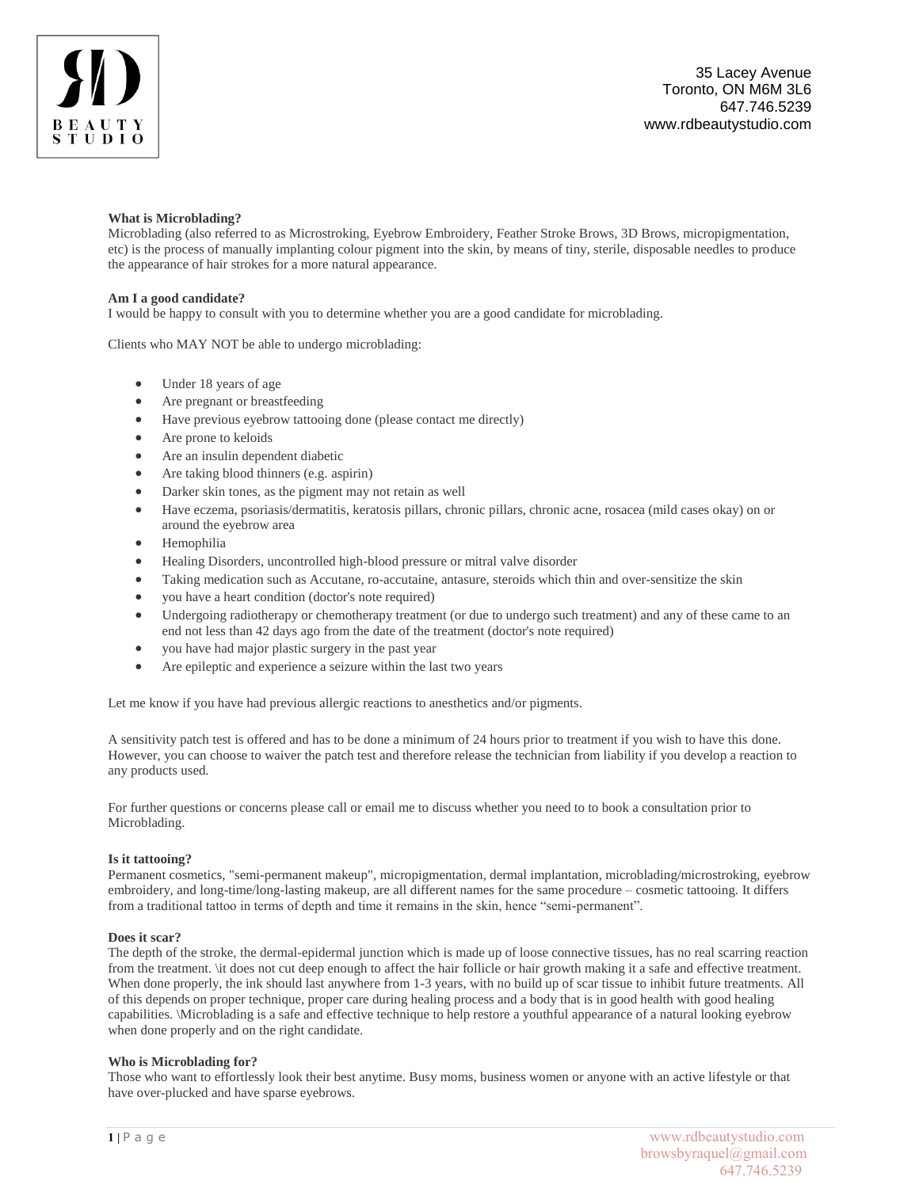

35 Lacey Avenue Toronto, ON M6M 3L6 647.746.5239 www.rdbeautystudio.com

# **What is Microblading?**

Microblading (also referred to as Microstroking, Eyebrow Embroidery, Feather Stroke Brows, 3D Brows, micropigmentation, etc) is the process of manually implanting colour pigment into the skin, by means of tiny, sterile, disposable needles to produce the appearance of hair strokes for a more natural appearance.

# **Am I a good candidate?**

I would be happy to consult with you to determine whether you are a good candidate for microblading.

Clients who MAY NOT be able to undergo microblading:

- Under 18 years of age
- Are pregnant or breastfeeding
- Have previous eyebrow tattooing done (please contact me directly)
- Are prone to keloids
- Are an insulin dependent diabetic
- Are taking blood thinners (e.g. aspirin)
- Darker skin tones, as the pigment may not retain as well
- Have eczema, psoriasis/dermatitis, keratosis pillars, chronic pillars, chronic acne, rosacea (mild cases okay) on or around the eyebrow area
- **•** Hemophilia
- Healing Disorders, uncontrolled high-blood pressure or mitral valve disorder
- Taking medication such as Accutane, ro-accutaine, antasure, steroids which thin and over-sensitize the skin
- you have a heart condition (doctor's note required)
- Undergoing radiotherapy or chemotherapy treatment (or due to undergo such treatment) and any of these came to an end not less than 42 days ago from the date of the treatment (doctor's note required)
- you have had major plastic surgery in the past year
- Are epileptic and experience a seizure within the last two years

Let me know if you have had previous allergic reactions to anesthetics and/or pigments.

A sensitivity patch test is offered and has to be done a minimum of 24 hours prior to treatment if you wish to have this done. However, you can choose to waiver the patch test and therefore release the technician from liability if you develop a reaction to any products used.

For further questions or concerns please call or email me to discuss whether you need to to book a consultation prior to Microblading.

# **Is it tattooing?**

Permanent cosmetics, "semi-permanent makeup", micropigmentation, dermal implantation, microblading/microstroking, eyebrow embroidery, and long-time/long-lasting makeup, are all different names for the same procedure – cosmetic tattooing. It differs from a traditional tattoo in terms of depth and time it remains in the skin, hence "semi-permanent".

# **Does it scar?**

The depth of the stroke, the dermal-epidermal junction which is made up of loose connective tissues, has no real scarring reaction from the treatment. \it does not cut deep enough to affect the hair follicle or hair growth making it a safe and effective treatment. When done properly, the ink should last anywhere from 1-3 years, with no build up of scar tissue to inhibit future treatments. All of this depends on proper technique, proper care during healing process and a body that is in good health with good healing capabilities. \Microblading is a safe and effective technique to help restore a youthful appearance of a natural looking eyebrow when done properly and on the right candidate.

# **Who is Microblading for?**

Those who want to effortlessly look their best anytime. Busy moms, business women or anyone with an active lifestyle or that have over-plucked and have sparse eyebrows.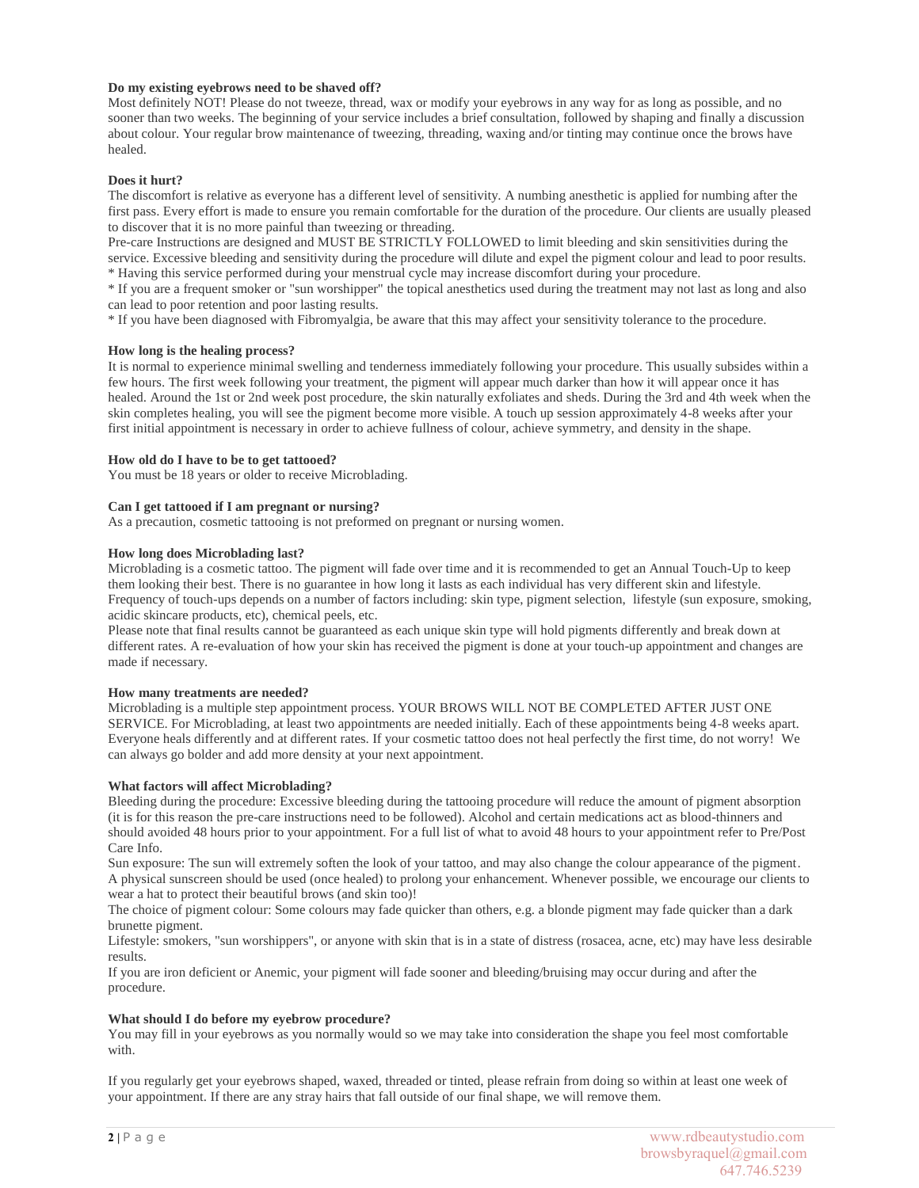# **Do my existing eyebrows need to be shaved off?**

Most definitely NOT! Please do not tweeze, thread, wax or modify your eyebrows in any way for as long as possible, and no sooner than two weeks. The beginning of your service includes a brief consultation, followed by shaping and finally a discussion about colour. Your regular brow maintenance of tweezing, threading, waxing and/or tinting may continue once the brows have healed.

### **Does it hurt?**

The discomfort is relative as everyone has a different level of sensitivity. A numbing anesthetic is applied for numbing after the first pass. Every effort is made to ensure you remain comfortable for the duration of the procedure. Our clients are usually pleased to discover that it is no more painful than tweezing or threading.

Pre-care Instructions are designed and MUST BE STRICTLY FOLLOWED to limit bleeding and skin sensitivities during the service. Excessive bleeding and sensitivity during the procedure will dilute and expel the pigment colour and lead to poor results. \* Having this service performed during your menstrual cycle may increase discomfort during your procedure.

\* If you are a frequent smoker or "sun worshipper" the topical anesthetics used during the treatment may not last as long and also can lead to poor retention and poor lasting results.

\* If you have been diagnosed with Fibromyalgia, be aware that this may affect your sensitivity tolerance to the procedure.

#### **How long is the healing process?**

It is normal to experience minimal swelling and tenderness immediately following your procedure. This usually subsides within a few hours. The first week following your treatment, the pigment will appear much darker than how it will appear once it has healed. Around the 1st or 2nd week post procedure, the skin naturally exfoliates and sheds. During the 3rd and 4th week when the skin completes healing, you will see the pigment become more visible. A touch up session approximately 4-8 weeks after your first initial appointment is necessary in order to achieve fullness of colour, achieve symmetry, and density in the shape.

#### **How old do I have to be to get tattooed?**

You must be 18 years or older to receive Microblading.

### **Can I get tattooed if I am pregnant or nursing?**

As a precaution, cosmetic tattooing is not preformed on pregnant or nursing women.

### **How long does Microblading last?**

Microblading is a cosmetic tattoo. The pigment will fade over time and it is recommended to get an Annual Touch-Up to keep them looking their best. There is no guarantee in how long it lasts as each individual has very different skin and lifestyle. Frequency of touch-ups depends on a number of factors including: skin type, pigment selection, lifestyle (sun exposure, smoking, acidic skincare products, etc), chemical peels, etc.

Please note that final results cannot be guaranteed as each unique skin type will hold pigments differently and break down at different rates. A re-evaluation of how your skin has received the pigment is done at your touch-up appointment and changes are made if necessary.

#### **How many treatments are needed?**

Microblading is a multiple step appointment process. YOUR BROWS WILL NOT BE COMPLETED AFTER JUST ONE SERVICE. For Microblading, at least two appointments are needed initially. Each of these appointments being 4-8 weeks apart. Everyone heals differently and at different rates. If your cosmetic tattoo does not heal perfectly the first time, do not worry! We can always go bolder and add more density at your next appointment.

#### **What factors will affect Microblading?**

Bleeding during the procedure: Excessive bleeding during the tattooing procedure will reduce the amount of pigment absorption (it is for this reason the pre-care instructions need to be followed). Alcohol and certain medications act as blood-thinners and should avoided 48 hours prior to your appointment. For a full list of what to avoid 48 hours to your appointment refer to Pre/Post Care Info.

Sun exposure: The sun will extremely soften the look of your tattoo, and may also change the colour appearance of the pigment. A physical sunscreen should be used (once healed) to prolong your enhancement. Whenever possible, we encourage our clients to wear a hat to protect their beautiful brows (and skin too)!

The choice of pigment colour: Some colours may fade quicker than others, e.g. a blonde pigment may fade quicker than a dark brunette pigment.

Lifestyle: smokers, "sun worshippers", or anyone with skin that is in a state of distress (rosacea, acne, etc) may have less desirable results.

If you are iron deficient or Anemic, your pigment will fade sooner and bleeding/bruising may occur during and after the procedure.

#### **What should I do before my eyebrow procedure?**

You may fill in your eyebrows as you normally would so we may take into consideration the shape you feel most comfortable with.

If you regularly get your eyebrows shaped, waxed, threaded or tinted, please refrain from doing so within at least one week of your appointment. If there are any stray hairs that fall outside of our final shape, we will remove them.